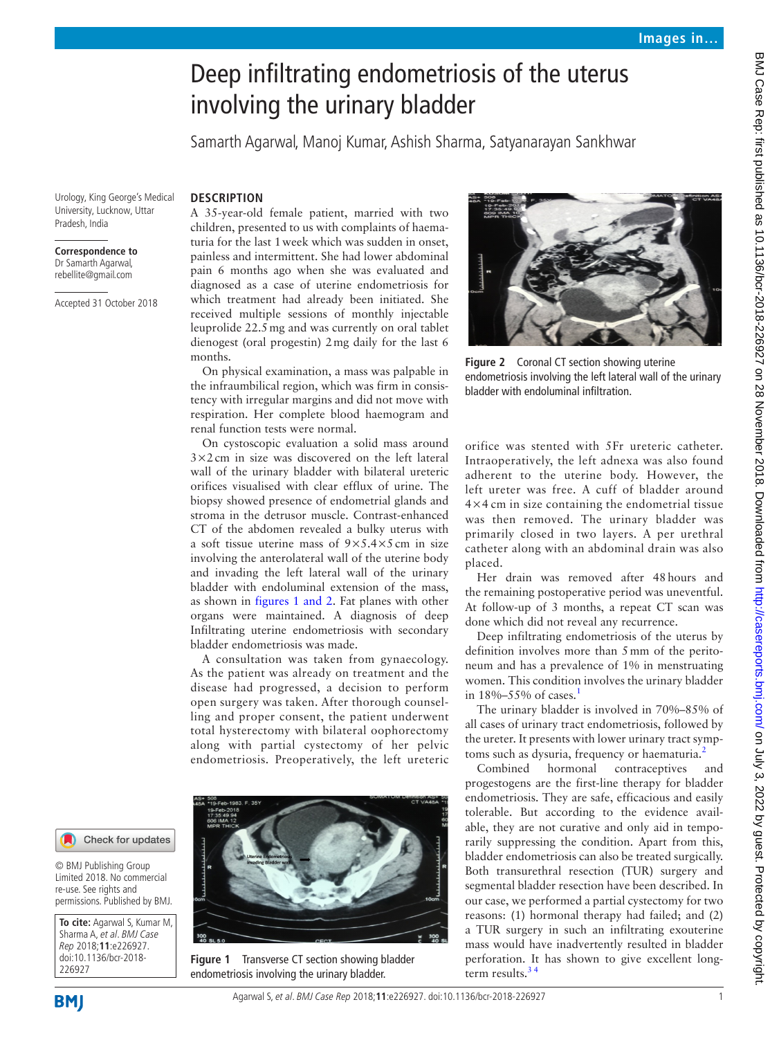# Deep infiltrating endometriosis of the uterus involving the urinary bladder

Samarth Agarwal, Manoj Kumar, Ashish Sharma, Satyanarayan Sankhwar

Urology, King George's Medical University, Lucknow, Uttar Pradesh, India

# **Correspondence to**

Dr Samarth Agarwal, rebellite@gmail.com

Accepted 31 October 2018

**Description**  A 35-year-old female patient, married with two children, presented to us with complaints of haematuria for the last 1week which was sudden in onset, painless and intermittent. She had lower abdominal pain 6 months ago when she was evaluated and diagnosed as a case of uterine endometriosis for which treatment had already been initiated. She received multiple sessions of monthly injectable leuprolide 22.5mg and was currently on oral tablet dienogest (oral progestin) 2mg daily for the last 6 months.

On physical examination, a mass was palpable in the infraumbilical region, which was firm in consistency with irregular margins and did not move with respiration. Her complete blood haemogram and renal function tests were normal.

On cystoscopic evaluation a solid mass around 3×2cm in size was discovered on the left lateral wall of the urinary bladder with bilateral ureteric orifices visualised with clear efflux of urine. The biopsy showed presence of endometrial glands and stroma in the detrusor muscle. Contrast-enhanced CT of the abdomen revealed a bulky uterus with a soft tissue uterine mass of  $9 \times 5.4 \times 5$  cm in size involving the anterolateral wall of the uterine body and invading the left lateral wall of the urinary bladder with endoluminal extension of the mass, as shown in figures [1 and 2](#page-0-0). Fat planes with other organs were maintained. A diagnosis of deep Infiltrating uterine endometriosis with secondary bladder endometriosis was made.

A consultation was taken from gynaecology. As the patient was already on treatment and the disease had progressed, a decision to perform open surgery was taken. After thorough counselling and proper consent, the patient underwent total hysterectomy with bilateral oophorectomy along with partial cystectomy of her pelvic endometriosis. Preoperatively, the left ureteric



**Figure 1** Transverse CT section showing bladder endometriosis involving the urinary bladder.



**Figure 2** Coronal CT section showing uterine endometriosis involving the left lateral wall of the urinary bladder with endoluminal infiltration.

orifice was stented with 5Fr ureteric catheter. Intraoperatively, the left adnexa was also found adherent to the uterine body. However, the left ureter was free. A cuff of bladder around 4×4 cm in size containing the endometrial tissue was then removed. The urinary bladder was primarily closed in two layers. A per urethral catheter along with an abdominal drain was also placed.

Her drain was removed after 48hours and the remaining postoperative period was uneventful. At follow-up of 3 months, a repeat CT scan was done which did not reveal any recurrence.

Deep infiltrating endometriosis of the uterus by definition involves more than 5mm of the peritoneum and has a prevalence of 1% in menstruating women. This condition involves the urinary bladder in  $18\% - 55\%$  $18\% - 55\%$  of cases.<sup>1</sup>

The urinary bladder is involved in 70%–85% of all cases of urinary tract endometriosis, followed by the ureter. It presents with lower urinary tract symp-toms such as dysuria, frequency or haematuria.<sup>[2](#page-1-1)</sup>

Combined hormonal contraceptives and progestogens are the first-line therapy for bladder endometriosis. They are safe, efficacious and easily tolerable. But according to the evidence available, they are not curative and only aid in temporarily suppressing the condition. Apart from this, bladder endometriosis can also be treated surgically. Both transurethral resection (TUR) surgery and segmental bladder resection have been described. In our case, we performed a partial cystectomy for two reasons: (1) hormonal therapy had failed; and (2) a TUR surgery in such an infiltrating exouterine mass would have inadvertently resulted in bladder perforation. It has shown to give excellent longterm results. $34$ 

Check for updates

© BMJ Publishing Group Limited 2018. No commercial re-use. See rights and permissions. Published by BMJ.

<span id="page-0-0"></span>**To cite:** Agarwal S, Kumar M, Sharma A, et al. BMJ Case Rep 2018;**11**:e226927. doi:10.1136/bcr-2018- 226927